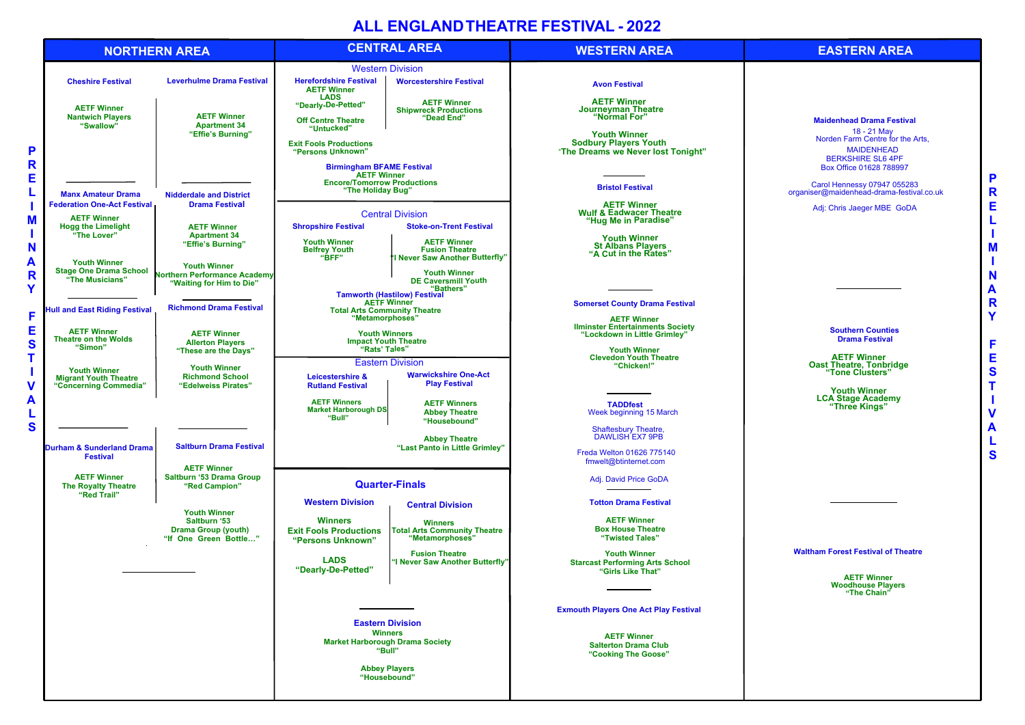# **ALL ENGLAND THEATRE FESTIVAL - 2022**

**Waltham Forest Festival of Theatre**

**AETF Winner Woodhouse Players "The Chain"**

| <b>NORTHERN AREA</b>                                                    |                                                                                              | <b>CENTRAL AREA</b>                                                                                                 |                                                                                 | <b>WESTERN AREA</b>                                                                                                                                            |  |
|-------------------------------------------------------------------------|----------------------------------------------------------------------------------------------|---------------------------------------------------------------------------------------------------------------------|---------------------------------------------------------------------------------|----------------------------------------------------------------------------------------------------------------------------------------------------------------|--|
|                                                                         |                                                                                              | <b>Western Division</b>                                                                                             |                                                                                 |                                                                                                                                                                |  |
| <b>Cheshire Festival</b>                                                | <b>Leverhulme Drama Festival</b>                                                             | <b>Herefordshire Festival</b><br><b>AETF Winner</b>                                                                 | <b>Worcestershire Festival</b>                                                  | <b>Avon Festival</b>                                                                                                                                           |  |
| <b>AETF Winner</b><br><b>Nantwich Players</b><br>"Swallow"              | <b>AETF Winner</b><br><b>Apartment 34</b><br>"Effie's Burning"                               | <b>LADS</b><br>"Dearly-De-Petted"<br><b>Off Centre Theatre</b><br>"Untucked"                                        | <b>AETF Winner</b><br><b>Shipwreck Productions</b><br>"Dead End"                | <b>AETF Winner</b><br><b>Journeyman Theatre</b><br>"Normal For"                                                                                                |  |
|                                                                         |                                                                                              | <b>Exit Fools Productions</b><br>"Persons Unknown"                                                                  |                                                                                 | <b>Youth Winner</b><br><b>Sodbury Players Youth</b><br>"The Dreams we Never lost Tonight"                                                                      |  |
|                                                                         | <b>Birmingham BFAME Festival</b><br><b>AETF Winner</b><br><b>Encore/Tomorrow Productions</b> |                                                                                                                     |                                                                                 |                                                                                                                                                                |  |
| <b>Manx Amateur Drama</b><br><b>Federation One-Act Festival</b>         | <b>Nidderdale and District</b><br><b>Drama Festival</b>                                      | "The Holiday Bug"                                                                                                   |                                                                                 | <b>Bristol Festival</b><br><b>AETF Winner</b>                                                                                                                  |  |
| <b>AETF Winner</b><br><b>Hogg the Limelight</b><br>"The Lover"          | <b>AETF Winner</b><br><b>Apartment 34</b>                                                    | <b>Shropshire Festival</b>                                                                                          | <b>Central Division</b><br><b>Stoke-on-Trent Festival</b>                       | <b>Wulf &amp; Eadwacer Theatre</b><br>"Hug Me in Paradise"                                                                                                     |  |
|                                                                         | "Effie's Burning"                                                                            | <b>Youth Winner</b><br><b>Belfrey Youth</b><br>"BFF"                                                                | <b>AETF Winner</b><br><b>Fusion Theatre</b><br>'I Never Saw Another Butterfly"  | <b>Youth Winner</b><br><b>St Albans Players</b><br>"A Cut in the Rates"                                                                                        |  |
| <b>Youth Winner</b><br><b>Stage One Drama School</b><br>"The Musicians" | <b>Youth Winner</b><br><b>Northern Performance Academy</b><br>"Waiting for Him to Die"       |                                                                                                                     | <b>Youth Winner</b><br><b>DE Caversmill Youth</b><br>"Bathers"                  |                                                                                                                                                                |  |
| <b>Hull and East Riding Festival</b>                                    | <b>Richmond Drama Festival</b>                                                               | <b>Tamworth (Hastilow) Festival</b><br><b>AETF Winner</b><br><b>Total Arts Community Theatre</b><br>"Metamorphoses" |                                                                                 | <b>Somerset County Drama Festival</b><br><b>AETF Winner</b><br><b>Ilminster Entertainments Society<br/>"Lockdown in Little Grimley"</b><br><b>Youth Winner</b> |  |
| <b>AETF Winner</b><br><b>Theatre on the Wolds</b><br>"Simon"            | <b>AETF Winner</b><br><b>Allerton Players</b>                                                | <b>Youth Winners</b><br><b>Impact Youth Theatre</b><br>"Rats' Tales"                                                |                                                                                 |                                                                                                                                                                |  |
| <b>Youth Winner</b>                                                     | "These are the Days"<br><b>Youth Winner</b>                                                  | <b>Eastern Division</b>                                                                                             |                                                                                 | <b>Clevedon Youth Theatre</b><br>"Chicken!"                                                                                                                    |  |
| <b>Migrant Youth Theatre</b><br>"Concerning Commedia"                   | <b>Richmond School</b><br>"Edelweiss Pirates"                                                | Leicestershire &<br><b>Rutland Festival</b>                                                                         | <b>Warwickshire One-Act</b><br><b>Play Festival</b>                             |                                                                                                                                                                |  |
|                                                                         |                                                                                              | <b>AETF Winners</b><br><b>Market Harborough DS</b><br>"Bull"                                                        | <b>AETF Winners</b><br><b>Abbey Theatre</b><br>"Housebound"                     | <b>TADDfest</b><br>Week beginning 15 March                                                                                                                     |  |
| Durham & Sunderland Drama                                               | <b>Saltburn Drama Festival</b><br><b>AETF Winner</b>                                         |                                                                                                                     | <b>Abbey Theatre</b><br>"Last Panto in Little Grimley"                          | <b>Shaftesbury Theatre,</b><br>DAWLISH EX7 9PB                                                                                                                 |  |
| <b>Festival</b>                                                         |                                                                                              |                                                                                                                     |                                                                                 | Freda Welton 01626 775140<br>fmwelt@btinternet.com                                                                                                             |  |
| <b>AETF Winner</b><br><b>The Royalty Theatre</b><br>"Red Trail"         | <b>Saltburn '53 Drama Group</b><br>"Red Campion"                                             | <b>Quarter-Finals</b>                                                                                               |                                                                                 | Adj. David Price GoDA                                                                                                                                          |  |
|                                                                         | <b>Youth Winner</b><br>Saltburn '53                                                          | <b>Western Division</b><br><b>Winners</b>                                                                           | <b>Central Division</b><br><b>Winners</b>                                       | <b>Totton Drama Festival</b><br><b>AETF Winner</b><br><b>Box House Theatre</b>                                                                                 |  |
|                                                                         | <b>Drama Group (youth)</b><br>"If One Green Bottle"                                          | <b>Exit Fools Productions</b><br>"Persons Unknown"                                                                  | <b>Total Arts Community Theatre</b><br>"Metamorphoses"<br><b>Fusion Theatre</b> | "Twisted Tales"<br><b>Youth Winner</b>                                                                                                                         |  |
|                                                                         |                                                                                              | <b>LADS</b><br>"Dearly-De-Petted"                                                                                   | "I Never Saw Another Butterfly"                                                 | <b>Starcast Performing Arts School</b><br>"Girls Like That"                                                                                                    |  |
|                                                                         |                                                                                              | <b>Eastern Division</b><br><b>Winners</b><br><b>Market Harborough Drama Society</b><br>"Bull"                       |                                                                                 | <b>Exmouth Players One Act Play Festival</b>                                                                                                                   |  |
|                                                                         |                                                                                              |                                                                                                                     |                                                                                 | <b>AETF Winner</b><br><b>Salterton Drama Club</b><br>"Cooking The Goose"                                                                                       |  |
|                                                                         |                                                                                              | <b>Abbey Players</b><br>"Housebound"                                                                                |                                                                                 |                                                                                                                                                                |  |

**Maidenhead Drama Festival** 18 - 21 May Norden Farm Centre for the Arts, MAIDENHEAD BERKSHIRE SL6 4PF Box Office 01628 788997

Carol Hennessy 07947 055283 organiser@maidenhead-drama-festival.co.uk

Adj: Chris Jaeger MBE GoDA

**Southern Counties Drama Festival**

**AETF Winner Oast Theatre, Tonbridge "Tone Clusters"**

**Youth Winner LCA Stage Academy "Three Kings"**

## **EASTERN AREA**